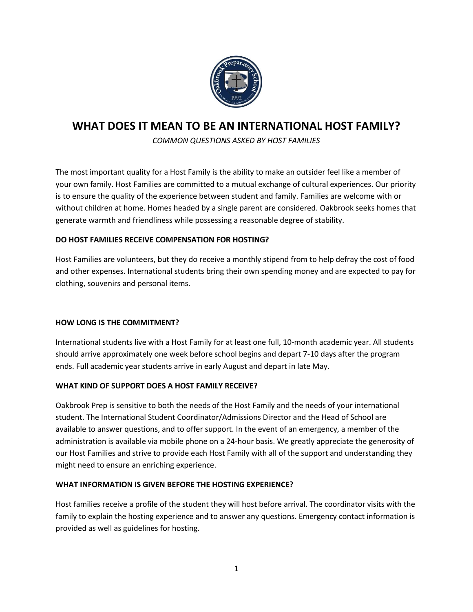

# **WHAT DOES IT MEAN TO BE AN INTERNATIONAL HOST FAMILY?**

*COMMON QUESTIONS ASKED BY HOST FAMILIES*

The most important quality for a Host Family is the ability to make an outsider feel like a member of your own family. Host Families are committed to a mutual exchange of cultural experiences. Our priority is to ensure the quality of the experience between student and family. Families are welcome with or without children at home. Homes headed by a single parent are considered. Oakbrook seeks homes that generate warmth and friendliness while possessing a reasonable degree of stability.

## **DO HOST FAMILIES RECEIVE COMPENSATION FOR HOSTING?**

Host Families are volunteers, but they do receive a monthly stipend from to help defray the cost of food and other expenses. International students bring their own spending money and are expected to pay for clothing, souvenirs and personal items.

## **HOW LONG IS THE COMMITMENT?**

International students live with a Host Family for at least one full, 10-month academic year. All students should arrive approximately one week before school begins and depart 7-10 days after the program ends. Full academic year students arrive in early August and depart in late May.

## **WHAT KIND OF SUPPORT DOES A HOST FAMILY RECEIVE?**

Oakbrook Prep is sensitive to both the needs of the Host Family and the needs of your international student. The International Student Coordinator/Admissions Director and the Head of School are available to answer questions, and to offer support. In the event of an emergency, a member of the administration is available via mobile phone on a 24-hour basis. We greatly appreciate the generosity of our Host Families and strive to provide each Host Family with all of the support and understanding they might need to ensure an enriching experience.

## **WHAT INFORMATION IS GIVEN BEFORE THE HOSTING EXPERIENCE?**

Host families receive a profile of the student they will host before arrival. The coordinator visits with the family to explain the hosting experience and to answer any questions. Emergency contact information is provided as well as guidelines for hosting.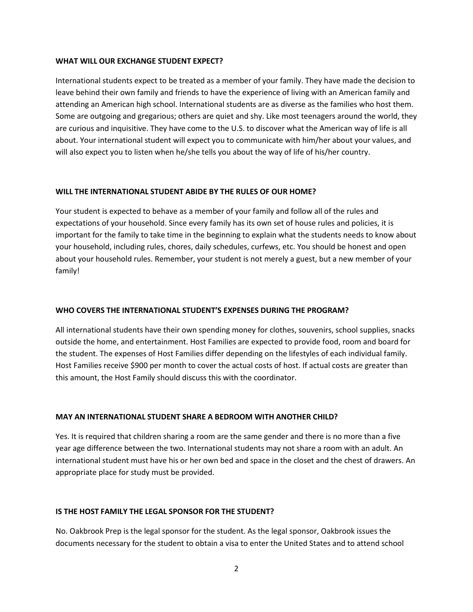#### **WHAT WILL OUR EXCHANGE STUDENT EXPECT?**

International students expect to be treated as a member of your family. They have made the decision to leave behind their own family and friends to have the experience of living with an American family and attending an American high school. International students are as diverse as the families who host them. Some are outgoing and gregarious; others are quiet and shy. Like most teenagers around the world, they are curious and inquisitive. They have come to the U.S. to discover what the American way of life is all about. Your international student will expect you to communicate with him/her about your values, and will also expect you to listen when he/she tells you about the way of life of his/her country.

#### **WILL THE INTERNATIONAL STUDENT ABIDE BY THE RULES OF OUR HOME?**

Your student is expected to behave as a member of your family and follow all of the rules and expectations of your household. Since every family has its own set of house rules and policies, it is important for the family to take time in the beginning to explain what the students needs to know about your household, including rules, chores, daily schedules, curfews, etc. You should be honest and open about your household rules. Remember, your student is not merely a guest, but a new member of your family!

#### **WHO COVERS THE INTERNATIONAL STUDENT'S EXPENSES DURING THE PROGRAM?**

All international students have their own spending money for clothes, souvenirs, school supplies, snacks outside the home, and entertainment. Host Families are expected to provide food, room and board for the student. The expenses of Host Families differ depending on the lifestyles of each individual family. Host Families receive \$900 per month to cover the actual costs of host. If actual costs are greater than this amount, the Host Family should discuss this with the coordinator.

#### **MAY AN INTERNATIONAL STUDENT SHARE A BEDROOM WITH ANOTHER CHILD?**

Yes. It is required that children sharing a room are the same gender and there is no more than a five year age difference between the two. International students may not share a room with an adult. An international student must have his or her own bed and space in the closet and the chest of drawers. An appropriate place for study must be provided.

#### **IS THE HOST FAMILY THE LEGAL SPONSOR FOR THE STUDENT?**

No. Oakbrook Prep is the legal sponsor for the student. As the legal sponsor, Oakbrook issues the documents necessary for the student to obtain a visa to enter the United States and to attend school